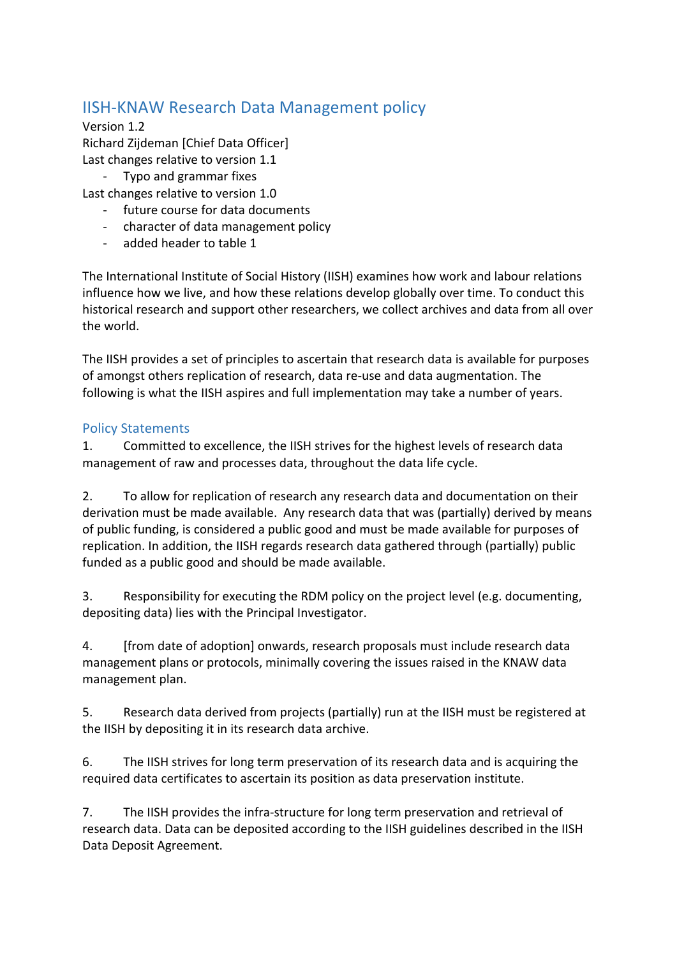## IISH-KNAW Research Data Management policy

Version 1.2 Richard Zijdeman [Chief Data Officer] Last changes relative to version 1.1

- Typo and grammar fixes

Last changes relative to version 1.0

- future course for data documents
- character of data management policy
- added header to table 1

The International Institute of Social History (IISH) examines how work and labour relations influence how we live, and how these relations develop globally over time. To conduct this historical research and support other researchers, we collect archives and data from all over the world

The IISH provides a set of principles to ascertain that research data is available for purposes of amongst others replication of research, data re-use and data augmentation. The following is what the IISH aspires and full implementation may take a number of years.

## Policy Statements

1. Committed to excellence, the IISH strives for the highest levels of research data management of raw and processes data, throughout the data life cycle.

2. To allow for replication of research any research data and documentation on their derivation must be made available. Any research data that was (partially) derived by means of public funding, is considered a public good and must be made available for purposes of replication. In addition, the IISH regards research data gathered through (partially) public funded as a public good and should be made available.

3. Responsibility for executing the RDM policy on the project level (e.g. documenting, depositing data) lies with the Principal Investigator.

4. **Ifrom date of adoption** onwards, research proposals must include research data management plans or protocols, minimally covering the issues raised in the KNAW data management plan.

5. Research data derived from projects (partially) run at the IISH must be registered at the IISH by depositing it in its research data archive.

6. The IISH strives for long term preservation of its research data and is acquiring the required data certificates to ascertain its position as data preservation institute.

7. The IISH provides the infra-structure for long term preservation and retrieval of research data. Data can be deposited according to the IISH guidelines described in the IISH Data Deposit Agreement.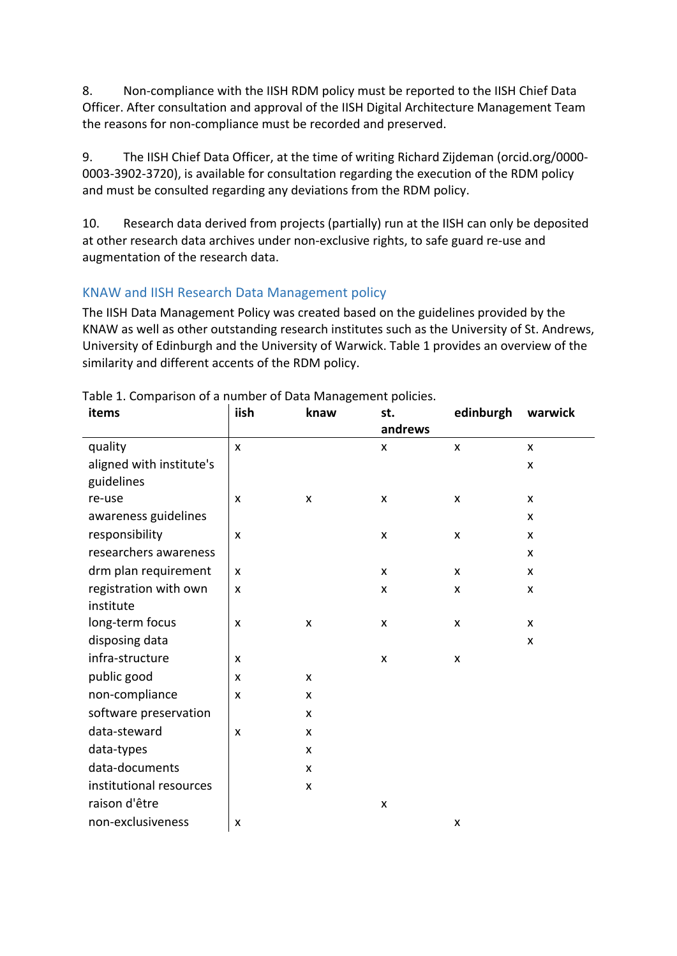8. Non-compliance with the IISH RDM policy must be reported to the IISH Chief Data Officer. After consultation and approval of the IISH Digital Architecture Management Team the reasons for non-compliance must be recorded and preserved.

9. The IISH Chief Data Officer, at the time of writing Richard Zijdeman (orcid.org/0000-0003-3902-3720), is available for consultation regarding the execution of the RDM policy and must be consulted regarding any deviations from the RDM policy.

10. Research data derived from projects (partially) run at the IISH can only be deposited at other research data archives under non-exclusive rights, to safe guard re-use and augmentation of the research data.

## KNAW and IISH Research Data Management policy

The IISH Data Management Policy was created based on the guidelines provided by the KNAW as well as other outstanding research institutes such as the University of St. Andrews, University of Edinburgh and the University of Warwick. Table 1 provides an overview of the similarity and different accents of the RDM policy.

| items                    | iish                      | knaw | st.     | edinburgh          | warwick |
|--------------------------|---------------------------|------|---------|--------------------|---------|
|                          |                           |      | andrews |                    |         |
| quality                  | $\boldsymbol{\mathsf{x}}$ |      | X       | X                  | X       |
| aligned with institute's |                           |      |         |                    | X       |
| guidelines               |                           |      |         |                    |         |
| re-use                   | X                         | X    | X       | X                  | X       |
| awareness guidelines     |                           |      |         |                    | X       |
| responsibility           | $\pmb{\mathsf{X}}$        |      | X       | $\pmb{\mathsf{X}}$ | X       |
| researchers awareness    |                           |      |         |                    | X       |
| drm plan requirement     | $\boldsymbol{\mathsf{x}}$ |      | X       | X                  | X       |
| registration with own    | X                         |      | X       | X                  | X       |
| institute                |                           |      |         |                    |         |
| long-term focus          | X                         | X    | X       | X                  | X       |
| disposing data           |                           |      |         |                    | X       |
| infra-structure          | X                         |      | X       | X                  |         |
| public good              | X                         | X    |         |                    |         |
| non-compliance           | X                         | X    |         |                    |         |
| software preservation    |                           | X    |         |                    |         |
| data-steward             | X                         | X    |         |                    |         |
| data-types               |                           | X    |         |                    |         |
| data-documents           |                           | X    |         |                    |         |
| institutional resources  |                           | X    |         |                    |         |
| raison d'être            |                           |      | X       |                    |         |
| non-exclusiveness        | X                         |      |         | X                  |         |

Table 1. Comparison of a number of Data Management policies.